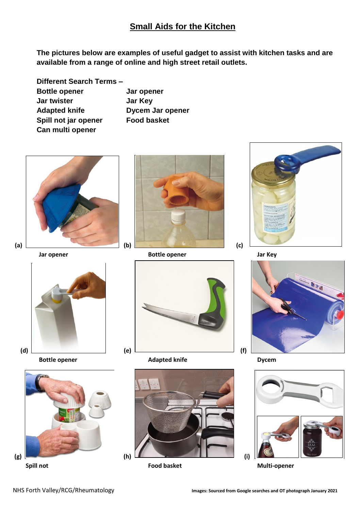## **Small Aids for the Kitchen**

**The pictures below are examples of useful gadget to assist with kitchen tasks and are available from a range of online and high street retail outlets.**

| Different Search Terms - |   |
|--------------------------|---|
| <b>Bottle opener</b>     | J |
| <b>Jar twister</b>       | J |
| <b>Adapted knife</b>     | D |
| Spill not jar opener     | F |
| Can multi opener         |   |

**Bottle opener Jar opener Jar Key Adapted knife Dycem Jar opener basket** 



















**Spill not Food basket Multi-opener**